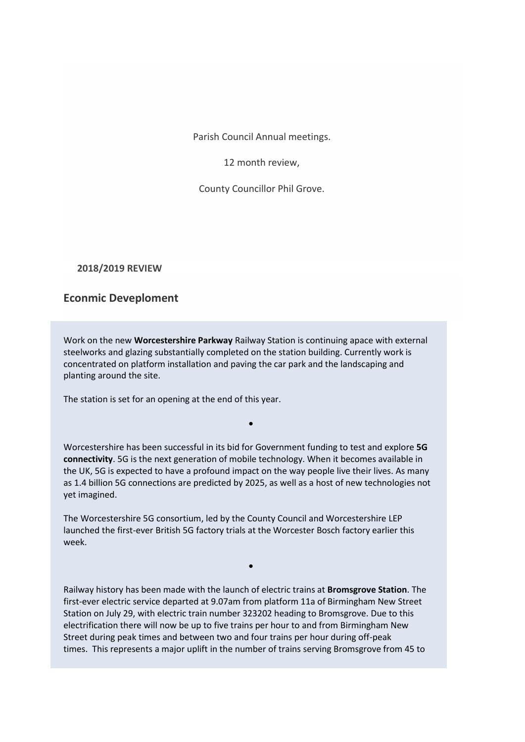Parish Council Annual meetings.

12 month review,

County Councillor Phil Grove.

**2018/2019 REVIEW**

## **Econmic Deveploment**

Work on the new **Worcestershire Parkway** Railway Station is continuing apace with external steelworks and glazing substantially completed on the station building. Currently work is concentrated on platform installation and paving the car park and the landscaping and planting around the site.

The station is set for an opening at the end of this year.

Worcestershire has been successful in its bid for Government funding to test and explore **5G connectivity**. 5G is the next generation of mobile technology. When it becomes available in the UK, 5G is expected to have a profound impact on the way people live their lives. As many as 1.4 billion 5G connections are predicted by 2025, as well as a host of new technologies not yet imagined.

•

The Worcestershire 5G consortium, led by the County Council and Worcestershire LEP launched the first-ever British 5G factory trials at the Worcester Bosch factory earlier this week.

Railway history has been made with the launch of electric trains at **Bromsgrove Station**. The first-ever electric service departed at 9.07am from platform 11a of Birmingham New Street Station on July 29, with electric train number 323202 heading to Bromsgrove. Due to this electrification there will now be up to five trains per hour to and from Birmingham New Street during peak times and between two and four trains per hour during off-peak times. This represents a major uplift in the number of trains serving Bromsgrove from 45 to

•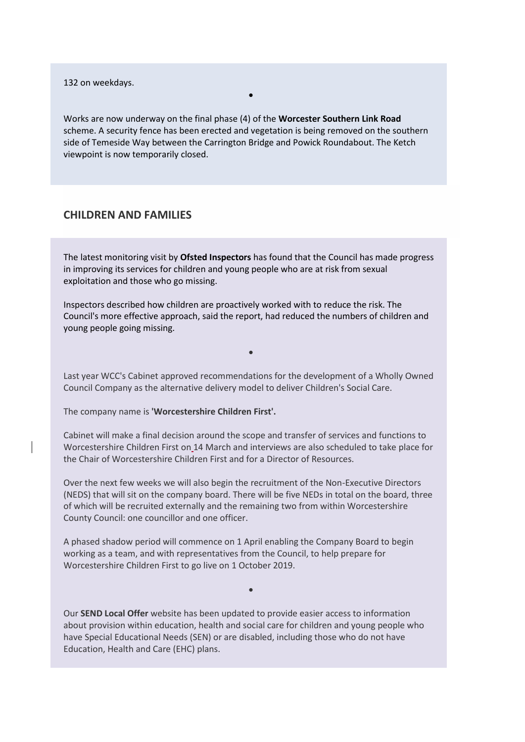132 on weekdays.

Works are now underway on the final phase (4) of the **Worcester Southern Link Road** scheme. A security fence has been erected and vegetation is being removed on the southern side of Temeside Way between the Carrington Bridge and Powick Roundabout. The Ketch viewpoint is now temporarily closed.

•

#### **CHILDREN AND FAMILIES**

The latest monitoring visit by **Ofsted Inspectors** has found that the Council has made progress in improving its services for children and young people who are at risk from sexual exploitation and those who go missing.

Inspectors described how children are proactively worked with to reduce the risk. The Council's more effective approach, said the report, had reduced the numbers of children and young people going missing.

Last year WCC's Cabinet approved recommendations for the development of a Wholly Owned Council Company as the alternative delivery model to deliver Children's Social Care.

•

The company name is **'Worcestershire Children First'.**

Cabinet will make a final decision around the scope and transfer of services and functions to Worcestershire Children First on 14 March and interviews are also scheduled to take place for the Chair of Worcestershire Children First and for a Director of Resources.

Over the next few weeks we will also begin the recruitment of the Non-Executive Directors (NEDS) that will sit on the company board. There will be five NEDs in total on the board, three of which will be recruited externally and the remaining two from within Worcestershire County Council: one councillor and one officer.

A phased shadow period will commence on 1 April enabling the Company Board to begin working as a team, and with representatives from the Council, to help prepare for Worcestershire Children First to go live on 1 October 2019.

Our **SEND Local Offer** website has been updated to provide easier access to information about provision within education, health and social care for children and young people who have Special Educational Needs (SEN) or are disabled, including those who do not have Education, Health and Care (EHC) plans.

•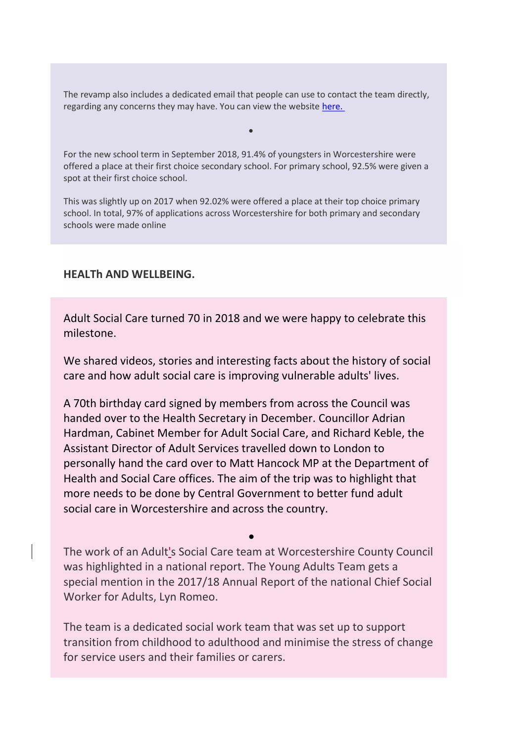The revamp also includes a dedicated email that people can use to contact the team directly, regarding any concerns they may have. You can view the website [here.](http://www.worcestershire.gov.uk/sendlocaloffer)

•

For the new school term in September 2018, 91.4% of youngsters in Worcestershire were offered a place at their first choice secondary school. For primary school, 92.5% were given a spot at their first choice school.

This was slightly up on 2017 when 92.02% were offered a place at their top choice primary school. In total, 97% of applications across Worcestershire for both primary and secondary schools were made online

# **HEALTh AND WELLBEING.**

Adult Social Care turned 70 in 2018 and we were happy to celebrate this milestone.

We shared videos, stories and interesting facts about the history of social care and how adult social care is improving vulnerable adults' lives.

A 70th birthday card signed by members from across the Council was handed over to the Health Secretary in December. Councillor Adrian Hardman, Cabinet Member for Adult Social Care, and Richard Keble, the Assistant Director of Adult Services travelled down to London to personally hand the card over to Matt Hancock MP at the Department of Health and Social Care offices. The aim of the trip was to highlight that more needs to be done by Central Government to better fund adult social care in Worcestershire and across the country.

The work of an Adult's Social Care team at Worcestershire County Council was highlighted in a national report. The Young Adults Team gets a special mention in the 2017/18 Annual Report of the national Chief Social Worker for Adults, Lyn Romeo.

•

The team is a dedicated social work team that was set up to support transition from childhood to adulthood and minimise the stress of change for service users and their families or carers.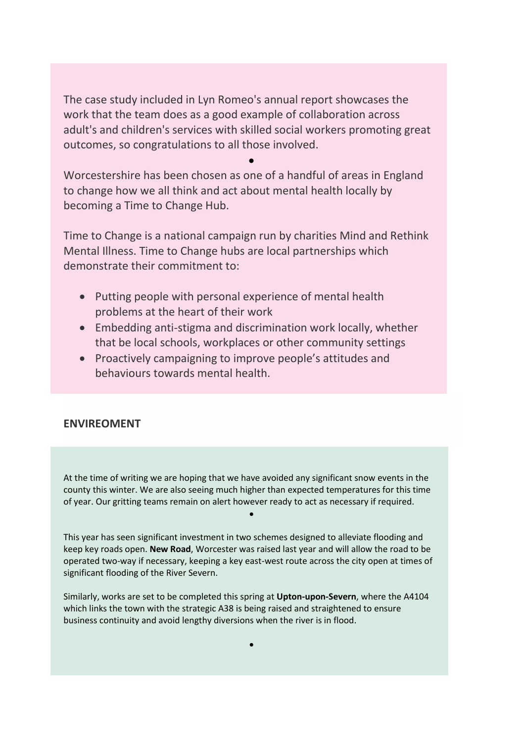The case study included in Lyn Romeo's annual report showcases the work that the team does as a good example of collaboration across adult's and children's services with skilled social workers promoting great outcomes, so congratulations to all those involved.

•

Worcestershire has been chosen as one of a handful of areas in England to change how we all think and act about mental health locally by becoming a Time to Change Hub.

Time to Change is a national campaign run by charities Mind and Rethink Mental Illness. Time to Change hubs are local partnerships which demonstrate their commitment to:

- Putting people with personal experience of mental health problems at the heart of their work
- Embedding anti-stigma and discrimination work locally, whether that be local schools, workplaces or other community settings
- Proactively campaigning to improve people's attitudes and behaviours towards mental health.

# **ENVIREOMENT**

At the time of writing we are hoping that we have avoided any significant snow events in the county this winter. We are also seeing much higher than expected temperatures for this time of year. Our gritting teams remain on alert however ready to act as necessary if required.

•

This year has seen significant investment in two schemes designed to alleviate flooding and keep key roads open. **New Road**, Worcester was raised last year and will allow the road to be operated two-way if necessary, keeping a key east-west route across the city open at times of significant flooding of the River Severn.

Similarly, works are set to be completed this spring at **Upton-upon-Severn**, where the A4104 which links the town with the strategic A38 is being raised and straightened to ensure business continuity and avoid lengthy diversions when the river is in flood.

•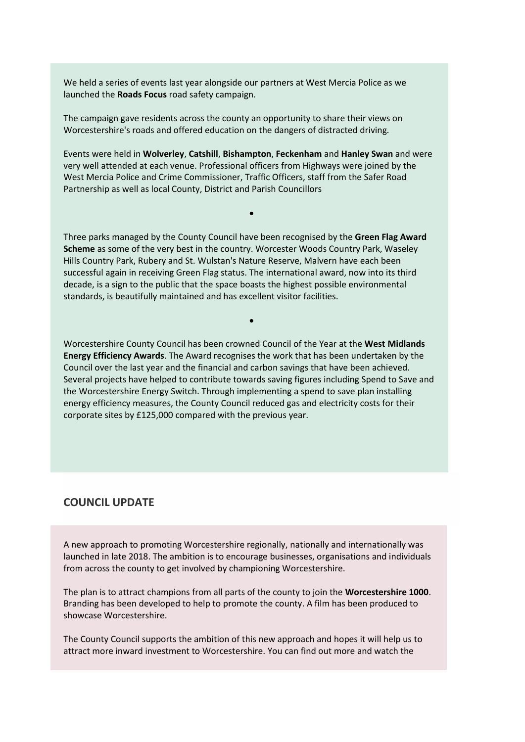We held a series of events last year alongside our partners at West Mercia Police as we launched the **Roads Focus** road safety campaign.

The campaign gave residents across the county an opportunity to share their views on Worcestershire's roads and offered education on the dangers of distracted driving.

Events were held in **Wolverley**, **Catshill**, **Bishampton**, **Feckenham** and **Hanley Swan** and were very well attended at each venue. Professional officers from Highways were joined by the West Mercia Police and Crime Commissioner, Traffic Officers, staff from the Safer Road Partnership as well as local County, District and Parish Councillors

•

Three parks managed by the County Council have been recognised by the **Green Flag Award Scheme** as some of the very best in the country. Worcester Woods Country Park, Waseley Hills Country Park, Rubery and St. Wulstan's Nature Reserve, Malvern have each been successful again in receiving Green Flag status. The international award, now into its third decade, is a sign to the public that the space boasts the highest possible environmental standards, is beautifully maintained and has excellent visitor facilities.

Worcestershire County Council has been crowned Council of the Year at the **West Midlands Energy Efficiency Awards**. The Award recognises the work that has been undertaken by the Council over the last year and the financial and carbon savings that have been achieved. Several projects have helped to contribute towards saving figures including Spend to Save and the Worcestershire Energy Switch. Through implementing a spend to save plan installing energy efficiency measures, the County Council reduced gas and electricity costs for their corporate sites by £125,000 compared with the previous year.

•

## **COUNCIL UPDATE**

A new approach to promoting Worcestershire regionally, nationally and internationally was launched in late 2018. The ambition is to encourage businesses, organisations and individuals from across the county to get involved by championing Worcestershire.

The plan is to attract champions from all parts of the county to join the **Worcestershire 1000**. Branding has been developed to help to promote the county. A film has been produced to showcase Worcestershire.

The County Council supports the ambition of this new approach and hopes it will help us to attract more inward investment to Worcestershire. You can find out more and watch the